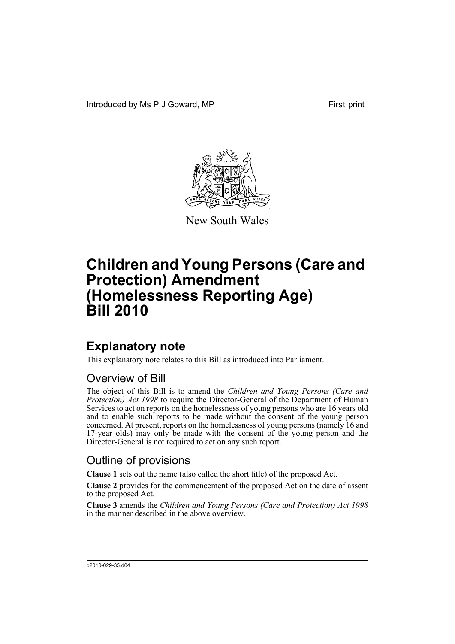Introduced by Ms P J Goward, MP First print



New South Wales

# **Children and Young Persons (Care and Protection) Amendment (Homelessness Reporting Age) Bill 2010**

## **Explanatory note**

This explanatory note relates to this Bill as introduced into Parliament.

#### Overview of Bill

The object of this Bill is to amend the *Children and Young Persons (Care and Protection) Act 1998* to require the Director-General of the Department of Human Services to act on reports on the homelessness of young persons who are 16 years old and to enable such reports to be made without the consent of the young person concerned. At present, reports on the homelessness of young persons (namely 16 and 17-year olds) may only be made with the consent of the young person and the Director-General is not required to act on any such report.

### Outline of provisions

**Clause 1** sets out the name (also called the short title) of the proposed Act.

**Clause 2** provides for the commencement of the proposed Act on the date of assent to the proposed Act.

**Clause 3** amends the *Children and Young Persons (Care and Protection) Act 1998* in the manner described in the above overview.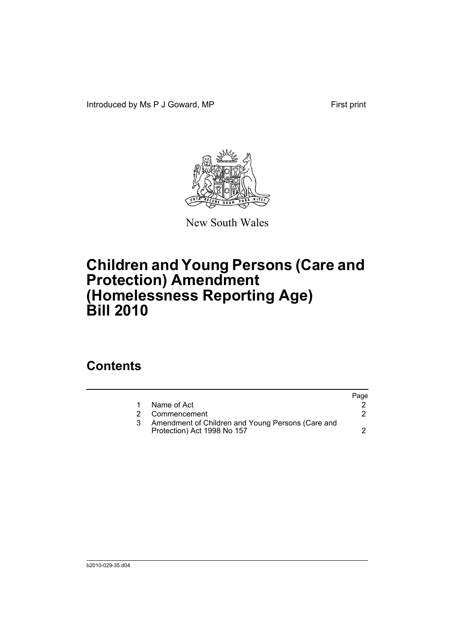Introduced by Ms P J Goward, MP First print



New South Wales

# **Children and Young Persons (Care and Protection) Amendment (Homelessness Reporting Age) Bill 2010**

## **Contents**

|   |                                                                                  | Page |
|---|----------------------------------------------------------------------------------|------|
|   | Name of Act                                                                      |      |
| 2 | Commencement                                                                     |      |
|   | Amendment of Children and Young Persons (Care and<br>Protection) Act 1998 No 157 |      |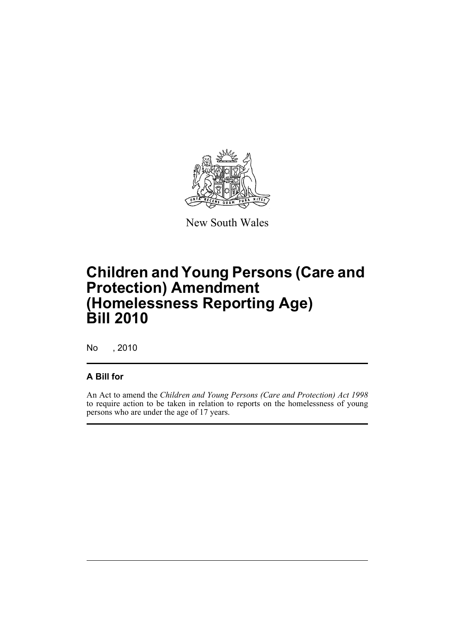

New South Wales

# **Children and Young Persons (Care and Protection) Amendment (Homelessness Reporting Age) Bill 2010**

No , 2010

#### **A Bill for**

An Act to amend the *Children and Young Persons (Care and Protection) Act 1998* to require action to be taken in relation to reports on the homelessness of young persons who are under the age of 17 years.